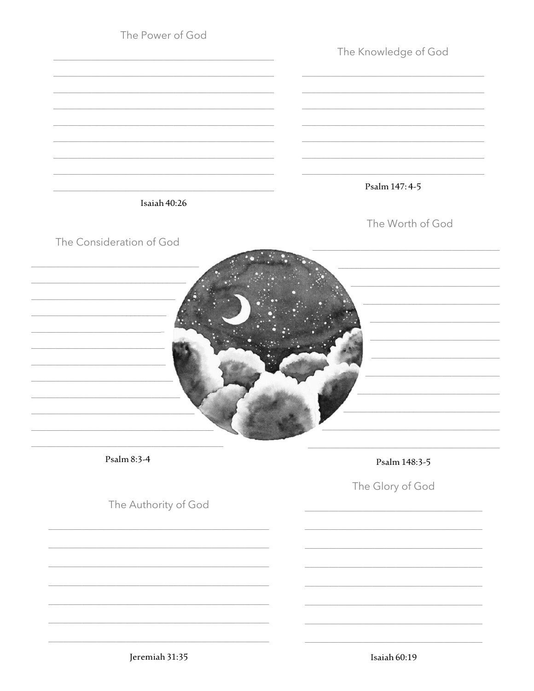| The Power of God         | The Knowledge of God |
|--------------------------|----------------------|
|                          |                      |
| Isaiah 40:26             | Psalm 147: 4-5       |
| The Consideration of God | The Worth of God     |
|                          |                      |
| Psalm 8:3-4              | Psalm 148:3-5        |
| The Authority of God     | The Glory of God     |
|                          |                      |
|                          |                      |
|                          |                      |